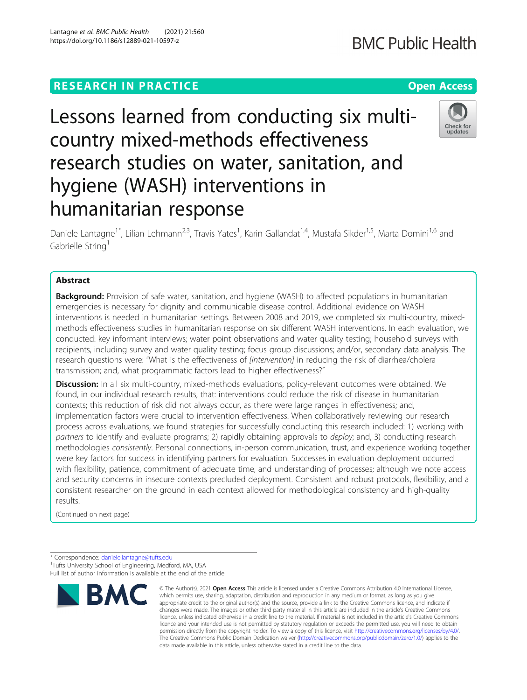# **RESEARCH IN PRACTICE CONSIDERING ACCESS Open Access**

# Lessons learned from conducting six multicountry mixed-methods effectiveness research studies on water, sanitation, and hygiene (WASH) interventions in humanitarian response

Daniele Lantagne<sup>1\*</sup>, Lilian Lehmann<sup>2,3</sup>, Travis Yates<sup>1</sup>, Karin Gallandat<sup>1,4</sup>, Mustafa Sikder<sup>1,5</sup>, Marta Domini<sup>1,6</sup> and Gabrielle String<sup>1</sup>

# Abstract

**Background:** Provision of safe water, sanitation, and hygiene (WASH) to affected populations in humanitarian emergencies is necessary for dignity and communicable disease control. Additional evidence on WASH interventions is needed in humanitarian settings. Between 2008 and 2019, we completed six multi-country, mixedmethods effectiveness studies in humanitarian response on six different WASH interventions. In each evaluation, we conducted: key informant interviews; water point observations and water quality testing; household surveys with recipients, including survey and water quality testing; focus group discussions; and/or, secondary data analysis. The research questions were: "What is the effectiveness of *[intervention]* in reducing the risk of diarrhea/cholera transmission; and, what programmatic factors lead to higher effectiveness?"

Discussion: In all six multi-country, mixed-methods evaluations, policy-relevant outcomes were obtained. We found, in our individual research results, that: interventions could reduce the risk of disease in humanitarian contexts; this reduction of risk did not always occur, as there were large ranges in effectiveness; and, implementation factors were crucial to intervention effectiveness. When collaboratively reviewing our research process across evaluations, we found strategies for successfully conducting this research included: 1) working with partners to identify and evaluate programs; 2) rapidly obtaining approvals to *deploy*; and, 3) conducting research methodologies consistently. Personal connections, in-person communication, trust, and experience working together were key factors for success in identifying partners for evaluation. Successes in evaluation deployment occurred with flexibility, patience, commitment of adequate time, and understanding of processes; although we note access and security concerns in insecure contexts precluded deployment. Consistent and robust protocols, flexibility, and a consistent researcher on the ground in each context allowed for methodological consistency and high-quality results.

(Continued on next page)

\* Correspondence: [daniele.lantagne@tufts.edu](mailto:daniele.lantagne@tufts.edu) <sup>1</sup> <sup>1</sup>Tufts University School of Engineering, Medford, MA, USA Full list of author information is available at the end of the article



<sup>©</sup> The Author(s), 2021 **Open Access** This article is licensed under a Creative Commons Attribution 4.0 International License, which permits use, sharing, adaptation, distribution and reproduction in any medium or format, as long as you give appropriate credit to the original author(s) and the source, provide a link to the Creative Commons licence, and indicate if changes were made. The images or other third party material in this article are included in the article's Creative Commons licence, unless indicated otherwise in a credit line to the material. If material is not included in the article's Creative Commons licence and your intended use is not permitted by statutory regulation or exceeds the permitted use, you will need to obtain permission directly from the copyright holder. To view a copy of this licence, visit [http://creativecommons.org/licenses/by/4.0/.](http://creativecommons.org/licenses/by/4.0/) The Creative Commons Public Domain Dedication waiver [\(http://creativecommons.org/publicdomain/zero/1.0/](http://creativecommons.org/publicdomain/zero/1.0/)) applies to the data made available in this article, unless otherwise stated in a credit line to the data.



**BMC Public Health** 

Check for updates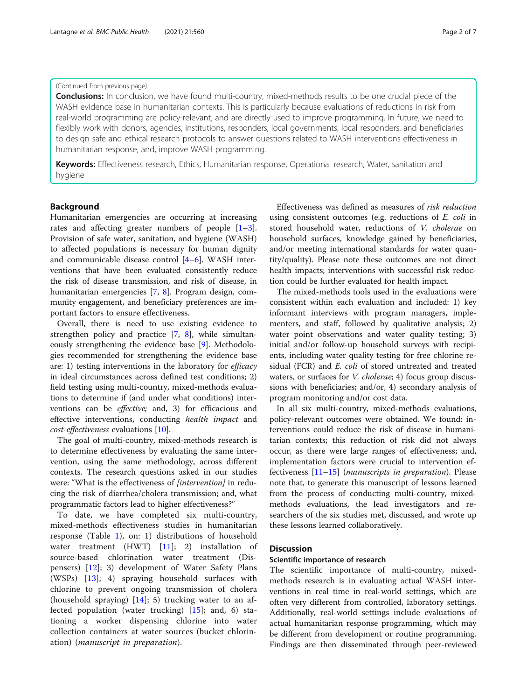### (Continued from previous page)

**Conclusions:** In conclusion, we have found multi-country, mixed-methods results to be one crucial piece of the WASH evidence base in humanitarian contexts. This is particularly because evaluations of reductions in risk from real-world programming are policy-relevant, and are directly used to improve programming. In future, we need to flexibly work with donors, agencies, institutions, responders, local governments, local responders, and beneficiaries to design safe and ethical research protocols to answer questions related to WASH interventions effectiveness in humanitarian response, and, improve WASH programming.

Keywords: Effectiveness research, Ethics, Humanitarian response, Operational research, Water, sanitation and hygiene

# Background

Humanitarian emergencies are occurring at increasing rates and affecting greater numbers of people  $[1-3]$  $[1-3]$  $[1-3]$  $[1-3]$ . Provision of safe water, sanitation, and hygiene (WASH) to affected populations is necessary for human dignity and communicable disease control [\[4](#page-6-0)–[6\]](#page-6-0). WASH interventions that have been evaluated consistently reduce the risk of disease transmission, and risk of disease, in humanitarian emergencies [[7,](#page-6-0) [8\]](#page-6-0). Program design, community engagement, and beneficiary preferences are important factors to ensure effectiveness.

Overall, there is need to use existing evidence to strengthen policy and practice [\[7](#page-6-0), [8\]](#page-6-0), while simultaneously strengthening the evidence base [[9](#page-6-0)]. Methodologies recommended for strengthening the evidence base are: 1) testing interventions in the laboratory for efficacy in ideal circumstances across defined test conditions; 2) field testing using multi-country, mixed-methods evaluations to determine if (and under what conditions) interventions can be effective; and, 3) for efficacious and effective interventions, conducting health impact and cost-effectiveness evaluations [[10\]](#page-6-0).

The goal of multi-country, mixed-methods research is to determine effectiveness by evaluating the same intervention, using the same methodology, across different contexts. The research questions asked in our studies were: "What is the effectiveness of [intervention] in reducing the risk of diarrhea/cholera transmission; and, what programmatic factors lead to higher effectiveness?"

To date, we have completed six multi-country, mixed-methods effectiveness studies in humanitarian response (Table [1\)](#page-2-0), on: 1) distributions of household water treatment (HWT) [[11\]](#page-6-0); 2) installation of source-based chlorination water treatment (Dispensers) [[12\]](#page-6-0); 3) development of Water Safety Plans (WSPs) [[13\]](#page-6-0); 4) spraying household surfaces with chlorine to prevent ongoing transmission of cholera (household spraying)  $[14]$  $[14]$  $[14]$ ; 5) trucking water to an affected population (water trucking) [[15\]](#page-6-0); and, 6) stationing a worker dispensing chlorine into water collection containers at water sources (bucket chlorination) (manuscript in preparation).

Effectiveness was defined as measures of risk reduction using consistent outcomes (e.g. reductions of E. coli in stored household water, reductions of V. cholerae on household surfaces, knowledge gained by beneficiaries, and/or meeting international standards for water quantity/quality). Please note these outcomes are not direct health impacts; interventions with successful risk reduction could be further evaluated for health impact.

The mixed-methods tools used in the evaluations were consistent within each evaluation and included: 1) key informant interviews with program managers, implementers, and staff, followed by qualitative analysis; 2) water point observations and water quality testing; 3) initial and/or follow-up household surveys with recipients, including water quality testing for free chlorine residual (FCR) and E. coli of stored untreated and treated waters, or surfaces for V. cholerae; 4) focus group discussions with beneficiaries; and/or, 4) secondary analysis of program monitoring and/or cost data.

In all six multi-country, mixed-methods evaluations, policy-relevant outcomes were obtained. We found: interventions could reduce the risk of disease in humanitarian contexts; this reduction of risk did not always occur, as there were large ranges of effectiveness; and, implementation factors were crucial to intervention effectiveness [\[11](#page-6-0)–[15\]](#page-6-0) (manuscripts in preparation). Please note that, to generate this manuscript of lessons learned from the process of conducting multi-country, mixedmethods evaluations, the lead investigators and researchers of the six studies met, discussed, and wrote up these lessons learned collaboratively.

# **Discussion**

# Scientific importance of research

The scientific importance of multi-country, mixedmethods research is in evaluating actual WASH interventions in real time in real-world settings, which are often very different from controlled, laboratory settings. Additionally, real-world settings include evaluations of actual humanitarian response programming, which may be different from development or routine programming. Findings are then disseminated through peer-reviewed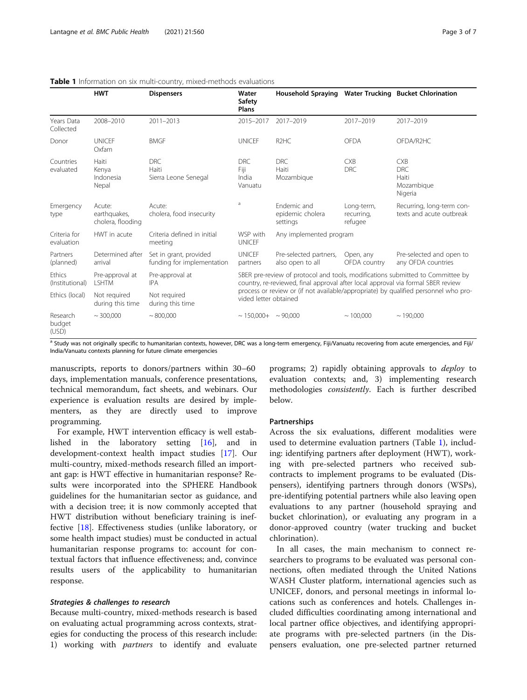|                             | <b>HWT</b>                                  | <b>Dispensers</b>                                    | Water<br>Safety<br>Plans                                                                                                                                                                                                                                                           | Household Spraying Water Trucking Bucket Chlorination |                                     |                                                            |
|-----------------------------|---------------------------------------------|------------------------------------------------------|------------------------------------------------------------------------------------------------------------------------------------------------------------------------------------------------------------------------------------------------------------------------------------|-------------------------------------------------------|-------------------------------------|------------------------------------------------------------|
| Years Data<br>Collected     | 2008-2010                                   | 2011-2013                                            | 2015-2017                                                                                                                                                                                                                                                                          | 2017-2019                                             | 2017-2019                           | 2017-2019                                                  |
| Donor                       | <b>UNICFF</b><br>Oxfam                      | <b>BMGF</b>                                          | <b>UNICEF</b>                                                                                                                                                                                                                                                                      | R <sub>2</sub> H <sub>C</sub>                         | <b>OFDA</b>                         | OFDA/R2HC                                                  |
| Countries<br>evaluated      | Haiti<br>Kenya<br>Indonesia<br>Nepal        | <b>DRC</b><br>Haiti<br>Sierra Leone Senegal          | <b>DRC</b><br>Fiji<br>India<br>Vanuatu                                                                                                                                                                                                                                             | <b>DRC</b><br>Haiti<br>Mozambique                     | <b>CXB</b><br><b>DRC</b>            | <b>CXB</b><br><b>DRC</b><br>Haiti<br>Mozambique<br>Nigeria |
| Emergency<br>type           | Acute:<br>earthquakes,<br>cholera, flooding | Acute:<br>cholera, food insecurity                   | a                                                                                                                                                                                                                                                                                  | Fndemic and<br>epidemic cholera<br>settings           | Long-term,<br>recurring,<br>refugee | Recurring, long-term con-<br>texts and acute outbreak      |
| Criteria for<br>evaluation  | HWT in acute                                | Criteria defined in initial<br>meeting               | WSP with<br><b>UNICEF</b>                                                                                                                                                                                                                                                          | Any implemented program                               |                                     |                                                            |
| Partners<br>(planned)       | Determined after<br>arrival                 | Set in grant, provided<br>funding for implementation | <b>UNICEF</b><br>partners                                                                                                                                                                                                                                                          | Pre-selected partners,<br>also open to all            | Open, any<br>OFDA country           | Pre-selected and open to<br>any OFDA countries             |
| Ethics<br>(Institutional)   | Pre-approval at<br><b>LSHTM</b>             | Pre-approval at<br><b>IPA</b>                        | SBER pre-review of protocol and tools, modifications submitted to Committee by<br>country, re-reviewed, final approval after local approval via formal SBER review<br>process or review or (if not available/appropriate) by qualified personnel who pro-<br>vided letter obtained |                                                       |                                     |                                                            |
| Ethics (local)              | Not required<br>during this time            | Not required<br>during this time                     |                                                                                                                                                                                                                                                                                    |                                                       |                                     |                                                            |
| Research<br>budget<br>(USD) | $\sim$ 300.000                              | ~800,000                                             | $\sim$ 150.000+ $\sim$ 90.000                                                                                                                                                                                                                                                      |                                                       | ~100.000                            | ~190,000                                                   |

#### <span id="page-2-0"></span>Table 1 Information on six multi-country, mixed-methods evaluations

a Study was not originally specific to humanitarian contexts, however, DRC was a long-term emergency, Fiji/Vanuatu recovering from acute emergencies, and Fiji/ India/Vanuatu contexts planning for future climate emergencies

manuscripts, reports to donors/partners within 30–60 days, implementation manuals, conference presentations, technical memorandum, fact sheets, and webinars. Our experience is evaluation results are desired by implementers, as they are directly used to improve programming.

For example, HWT intervention efficacy is well established in the laboratory setting [[16\]](#page-6-0), and in development-context health impact studies [[17](#page-6-0)]. Our multi-country, mixed-methods research filled an important gap: is HWT effective in humanitarian response? Results were incorporated into the SPHERE Handbook guidelines for the humanitarian sector as guidance, and with a decision tree; it is now commonly accepted that HWT distribution without beneficiary training is ineffective [[18\]](#page-6-0). Effectiveness studies (unlike laboratory, or some health impact studies) must be conducted in actual humanitarian response programs to: account for contextual factors that influence effectiveness; and, convince results users of the applicability to humanitarian response.

Because multi-country, mixed-methods research is based on evaluating actual programming across contexts, strategies for conducting the process of this research include: 1) working with partners to identify and evaluate

programs; 2) rapidly obtaining approvals to deploy to evaluation contexts; and, 3) implementing research methodologies consistently. Each is further described below.

#### Partnerships

Across the six evaluations, different modalities were used to determine evaluation partners (Table 1), including: identifying partners after deployment (HWT), working with pre-selected partners who received subcontracts to implement programs to be evaluated (Dispensers), identifying partners through donors (WSPs), pre-identifying potential partners while also leaving open evaluations to any partner (household spraying and bucket chlorination), or evaluating any program in a donor-approved country (water trucking and bucket chlorination).

In all cases, the main mechanism to connect researchers to programs to be evaluated was personal connections, often mediated through the United Nations WASH Cluster platform, international agencies such as UNICEF, donors, and personal meetings in informal locations such as conferences and hotels. Challenges included difficulties coordinating among international and local partner office objectives, and identifying appropriate programs with pre-selected partners (in the Dispensers evaluation, one pre-selected partner returned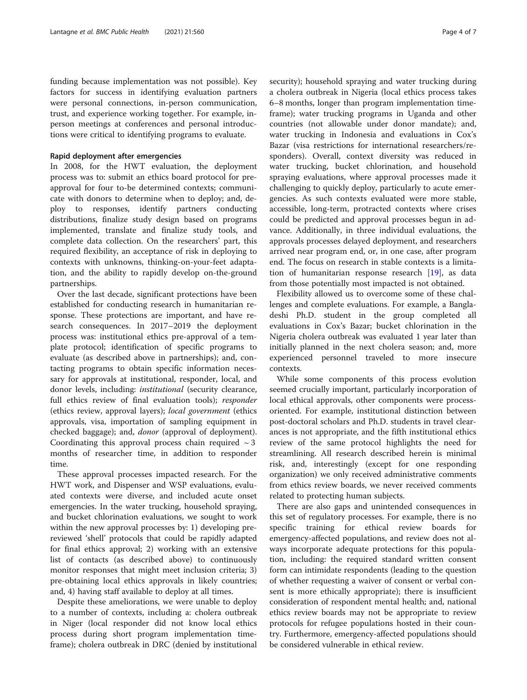funding because implementation was not possible). Key factors for success in identifying evaluation partners were personal connections, in-person communication, trust, and experience working together. For example, inperson meetings at conferences and personal introductions were critical to identifying programs to evaluate.

# Rapid deployment after emergencies

In 2008, for the HWT evaluation, the deployment process was to: submit an ethics board protocol for preapproval for four to-be determined contexts; communicate with donors to determine when to deploy; and, deploy to responses, identify partners conducting distributions, finalize study design based on programs implemented, translate and finalize study tools, and complete data collection. On the researchers' part, this required flexibility, an acceptance of risk in deploying to contexts with unknowns, thinking-on-your-feet adaptation, and the ability to rapidly develop on-the-ground partnerships.

Over the last decade, significant protections have been established for conducting research in humanitarian response. These protections are important, and have research consequences. In 2017–2019 the deployment process was: institutional ethics pre-approval of a template protocol; identification of specific programs to evaluate (as described above in partnerships); and, contacting programs to obtain specific information necessary for approvals at institutional, responder, local, and donor levels, including: institutional (security clearance, full ethics review of final evaluation tools); responder (ethics review, approval layers); local government (ethics approvals, visa, importation of sampling equipment in checked baggage); and, donor (approval of deployment). Coordinating this approval process chain required  $\sim$  3 months of researcher time, in addition to responder time.

These approval processes impacted research. For the HWT work, and Dispenser and WSP evaluations, evaluated contexts were diverse, and included acute onset emergencies. In the water trucking, household spraying, and bucket chlorination evaluations, we sought to work within the new approval processes by: 1) developing prereviewed 'shell' protocols that could be rapidly adapted for final ethics approval; 2) working with an extensive list of contacts (as described above) to continuously monitor responses that might meet inclusion criteria; 3) pre-obtaining local ethics approvals in likely countries; and, 4) having staff available to deploy at all times.

Despite these ameliorations, we were unable to deploy to a number of contexts, including a: cholera outbreak in Niger (local responder did not know local ethics process during short program implementation timeframe); cholera outbreak in DRC (denied by institutional security); household spraying and water trucking during a cholera outbreak in Nigeria (local ethics process takes 6–8 months, longer than program implementation timeframe); water trucking programs in Uganda and other countries (not allowable under donor mandate); and, water trucking in Indonesia and evaluations in Cox's Bazar (visa restrictions for international researchers/responders). Overall, context diversity was reduced in water trucking, bucket chlorination, and household spraying evaluations, where approval processes made it challenging to quickly deploy, particularly to acute emergencies. As such contexts evaluated were more stable, accessible, long-term, protracted contexts where crises could be predicted and approval processes begun in advance. Additionally, in three individual evaluations, the approvals processes delayed deployment, and researchers arrived near program end, or, in one case, after program end. The focus on research in stable contexts is a limitation of humanitarian response research [\[19](#page-6-0)], as data from those potentially most impacted is not obtained.

Flexibility allowed us to overcome some of these challenges and complete evaluations. For example, a Bangladeshi Ph.D. student in the group completed all evaluations in Cox's Bazar; bucket chlorination in the Nigeria cholera outbreak was evaluated 1 year later than initially planned in the next cholera season; and, more experienced personnel traveled to more insecure contexts.

While some components of this process evolution seemed crucially important, particularly incorporation of local ethical approvals, other components were processoriented. For example, institutional distinction between post-doctoral scholars and Ph.D. students in travel clearances is not appropriate, and the fifth institutional ethics review of the same protocol highlights the need for streamlining. All research described herein is minimal risk, and, interestingly (except for one responding organization) we only received administrative comments from ethics review boards, we never received comments related to protecting human subjects.

There are also gaps and unintended consequences in this set of regulatory processes. For example, there is no specific training for ethical review boards for emergency-affected populations, and review does not always incorporate adequate protections for this population, including: the required standard written consent form can intimidate respondents (leading to the question of whether requesting a waiver of consent or verbal consent is more ethically appropriate); there is insufficient consideration of respondent mental health; and, national ethics review boards may not be appropriate to review protocols for refugee populations hosted in their country. Furthermore, emergency-affected populations should be considered vulnerable in ethical review.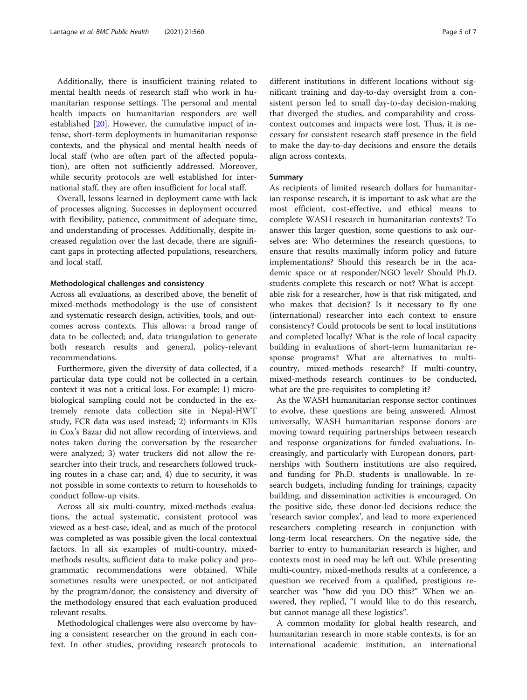Additionally, there is insufficient training related to mental health needs of research staff who work in humanitarian response settings. The personal and mental health impacts on humanitarian responders are well established [\[20](#page-6-0)]. However, the cumulative impact of intense, short-term deployments in humanitarian response contexts, and the physical and mental health needs of local staff (who are often part of the affected population), are often not sufficiently addressed. Moreover, while security protocols are well established for international staff, they are often insufficient for local staff.

Overall, lessons learned in deployment came with lack of processes aligning. Successes in deployment occurred with flexibility, patience, commitment of adequate time, and understanding of processes. Additionally, despite increased regulation over the last decade, there are significant gaps in protecting affected populations, researchers, and local staff.

#### Methodological challenges and consistency

Across all evaluations, as described above, the benefit of mixed-methods methodology is the use of consistent and systematic research design, activities, tools, and outcomes across contexts. This allows: a broad range of data to be collected; and, data triangulation to generate both research results and general, policy-relevant recommendations.

Furthermore, given the diversity of data collected, if a particular data type could not be collected in a certain context it was not a critical loss. For example: 1) microbiological sampling could not be conducted in the extremely remote data collection site in Nepal-HWT study, FCR data was used instead; 2) informants in KIIs in Cox's Bazar did not allow recording of interviews, and notes taken during the conversation by the researcher were analyzed; 3) water truckers did not allow the researcher into their truck, and researchers followed trucking routes in a chase car; and, 4) due to security, it was not possible in some contexts to return to households to conduct follow-up visits.

Across all six multi-country, mixed-methods evaluations, the actual systematic, consistent protocol was viewed as a best-case, ideal, and as much of the protocol was completed as was possible given the local contextual factors. In all six examples of multi-country, mixedmethods results, sufficient data to make policy and programmatic recommendations were obtained. While sometimes results were unexpected, or not anticipated by the program/donor; the consistency and diversity of the methodology ensured that each evaluation produced relevant results.

Methodological challenges were also overcome by having a consistent researcher on the ground in each context. In other studies, providing research protocols to different institutions in different locations without significant training and day-to-day oversight from a consistent person led to small day-to-day decision-making that diverged the studies, and comparability and crosscontext outcomes and impacts were lost. Thus, it is necessary for consistent research staff presence in the field to make the day-to-day decisions and ensure the details align across contexts.

#### Summary

As recipients of limited research dollars for humanitarian response research, it is important to ask what are the most efficient, cost-effective, and ethical means to complete WASH research in humanitarian contexts? To answer this larger question, some questions to ask ourselves are: Who determines the research questions, to ensure that results maximally inform policy and future implementations? Should this research be in the academic space or at responder/NGO level? Should Ph.D. students complete this research or not? What is acceptable risk for a researcher, how is that risk mitigated, and who makes that decision? Is it necessary to fly one (international) researcher into each context to ensure consistency? Could protocols be sent to local institutions and completed locally? What is the role of local capacity building in evaluations of short-term humanitarian response programs? What are alternatives to multicountry, mixed-methods research? If multi-country, mixed-methods research continues to be conducted, what are the pre-requisites to completing it?

As the WASH humanitarian response sector continues to evolve, these questions are being answered. Almost universally, WASH humanitarian response donors are moving toward requiring partnerships between research and response organizations for funded evaluations. Increasingly, and particularly with European donors, partnerships with Southern institutions are also required, and funding for Ph.D. students is unallowable. In research budgets, including funding for trainings, capacity building, and dissemination activities is encouraged. On the positive side, these donor-led decisions reduce the 'research savior complex', and lead to more experienced researchers completing research in conjunction with long-term local researchers. On the negative side, the barrier to entry to humanitarian research is higher, and contexts most in need may be left out. While presenting multi-country, mixed-methods results at a conference, a question we received from a qualified, prestigious researcher was "how did you DO this?" When we answered, they replied, "I would like to do this research, but cannot manage all these logistics".

A common modality for global health research, and humanitarian research in more stable contexts, is for an international academic institution, an international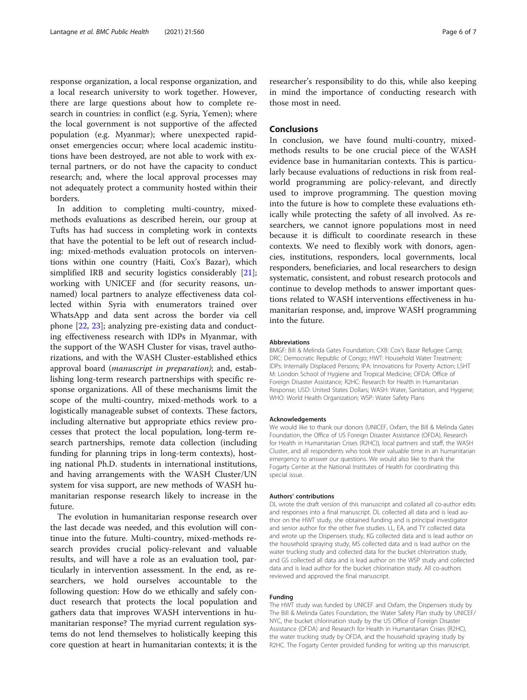response organization, a local response organization, and a local research university to work together. However, there are large questions about how to complete research in countries: in conflict (e.g. Syria, Yemen); where the local government is not supportive of the affected population (e.g. Myanmar); where unexpected rapidonset emergencies occur; where local academic institutions have been destroyed, are not able to work with external partners, or do not have the capacity to conduct research; and, where the local approval processes may not adequately protect a community hosted within their borders.

In addition to completing multi-country, mixedmethods evaluations as described herein, our group at Tufts has had success in completing work in contexts that have the potential to be left out of research including: mixed-methods evaluation protocols on interventions within one country (Haiti, Cox's Bazar), which simplified IRB and security logistics considerably [\[21](#page-6-0)]; working with UNICEF and (for security reasons, unnamed) local partners to analyze effectiveness data collected within Syria with enumerators trained over WhatsApp and data sent across the border via cell phone [[22](#page-6-0), [23\]](#page-6-0); analyzing pre-existing data and conducting effectiveness research with IDPs in Myanmar, with the support of the WASH Cluster for visas, travel authorizations, and with the WASH Cluster-established ethics approval board (manuscript in preparation); and, establishing long-term research partnerships with specific response organizations. All of these mechanisms limit the scope of the multi-country, mixed-methods work to a logistically manageable subset of contexts. These factors, including alternative but appropriate ethics review processes that protect the local population, long-term research partnerships, remote data collection (including funding for planning trips in long-term contexts), hosting national Ph.D. students in international institutions, and having arrangements with the WASH Cluster/UN system for visa support, are new methods of WASH humanitarian response research likely to increase in the future.

The evolution in humanitarian response research over the last decade was needed, and this evolution will continue into the future. Multi-country, mixed-methods research provides crucial policy-relevant and valuable results, and will have a role as an evaluation tool, particularly in intervention assessment. In the end, as researchers, we hold ourselves accountable to the following question: How do we ethically and safely conduct research that protects the local population and gathers data that improves WASH interventions in humanitarian response? The myriad current regulation systems do not lend themselves to holistically keeping this core question at heart in humanitarian contexts; it is the

researcher's responsibility to do this, while also keeping in mind the importance of conducting research with those most in need.

# Conclusions

In conclusion, we have found multi-country, mixedmethods results to be one crucial piece of the WASH evidence base in humanitarian contexts. This is particularly because evaluations of reductions in risk from realworld programming are policy-relevant, and directly used to improve programming. The question moving into the future is how to complete these evaluations ethically while protecting the safety of all involved. As researchers, we cannot ignore populations most in need because it is difficult to coordinate research in these contexts. We need to flexibly work with donors, agencies, institutions, responders, local governments, local responders, beneficiaries, and local researchers to design systematic, consistent, and robust research protocols and continue to develop methods to answer important questions related to WASH interventions effectiveness in humanitarian response, and, improve WASH programming into the future.

#### Abbreviations

BMGF: Bill & Melinda Gates Foundation; CXB: Cox's Bazar Refugee Camp; DRC: Democratic Republic of Congo; HWT: Household Water Treatment; IDPs: Internally Displaced Persons; IPA: Innovations for Poverty Action; LSHT M: London School of Hygiene and Tropical Medicine; OFDA: Office of Foreign Disaster Assistance; R2HC: Research for Health in Humanitarian Response; USD: United States Dollars; WASH: Water, Sanitation, and Hygiene; WHO: World Health Organization; WSP: Water Safety Plans

#### Acknowledgements

We would like to thank our donors (UNICEF, Oxfam, the Bill & Melinda Gates Foundation, the Office of US Foreign Disaster Assistance (OFDA), Research for Health in Humanitarian Crises (R2HC)), local partners and staff, the WASH Cluster, and all respondents who took their valuable time in an humanitarian emergency to answer our questions. We would also like to thank the Fogarty Center at the National Institutes of Health for coordinating this special issue.

#### Authors' contributions

DL wrote the draft version of this manuscript and collated all co-author edits and responses into a final manuscript. DL collected all data and is lead author on the HWT study, she obtained funding and is principal investigator and senior author for the other five studies. LL, EA, and TY collected data and wrote up the Dispensers study, KG collected data and is lead author on the household spraying study, MS collected data and is lead author on the water trucking study and collected data for the bucket chlorination study, and GS collected all data and is lead author on the WSP study and collected data and is lead author for the bucket chlorination study. All co-authors reviewed and approved the final manuscript.

#### Funding

The HWT study was funded by UNICEF and Oxfam, the Dispensers study by The Bill & Melinda Gates Foundation, the Water Safety Plan study by UNICEF/ NYC, the bucket chlorination study by the US Office of Foreign Disaster Assistance (OFDA) and Research for Health in Humanitarian Crises (R2HC), the water trucking study by OFDA, and the household spraying study by R2HC. The Fogarty Center provided funding for writing up this manuscript.